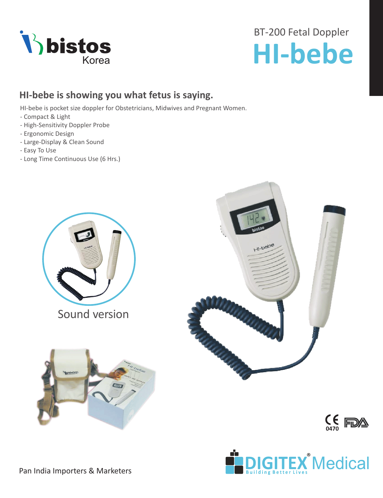

# BT-200 Fetal Doppler **Thistos**<br> **HI-bebe**

## **HI-bebe is showing you what fetus is saying.**

HI-bebe is pocket size doppler for Obstetricians, Midwives and Pregnant Women.

- Compact & Light
- High-Sensitivity Doppler Probe
- Ergonomic Design
- Large-Display & Clean Sound
- Easy To Use
- Long Time Continuous Use (6 Hrs.)



Sound version